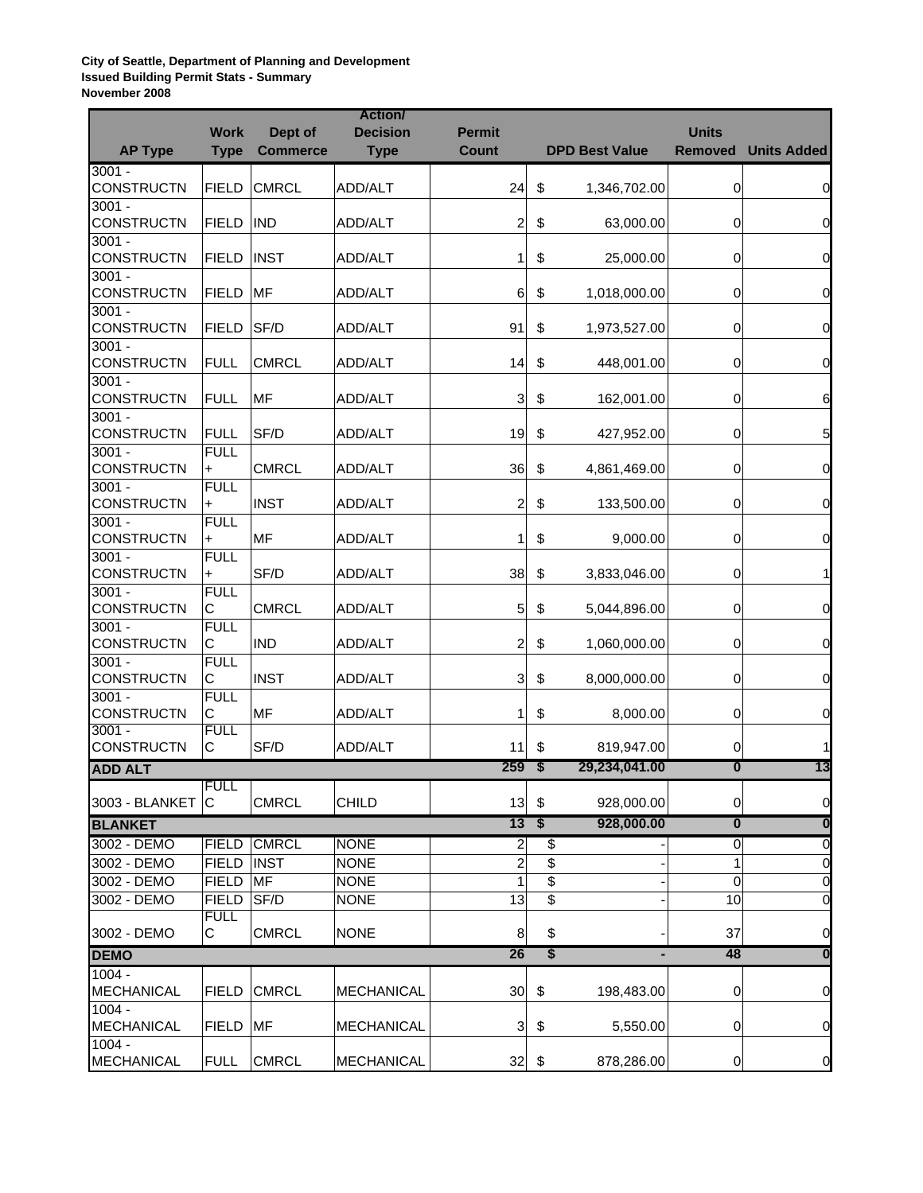**City of Seattle, Department of Planning and Development Issued Building Permit Stats - Summary November 2008**

|                               |                  |                 | <b>Action</b>     |               |                                      |                       |                         |                         |
|-------------------------------|------------------|-----------------|-------------------|---------------|--------------------------------------|-----------------------|-------------------------|-------------------------|
|                               | <b>Work</b>      | Dept of         | <b>Decision</b>   | <b>Permit</b> |                                      |                       | <b>Units</b>            |                         |
| <b>AP Type</b>                | <b>Type</b>      | <b>Commerce</b> | <b>Type</b>       | <b>Count</b>  |                                      | <b>DPD Best Value</b> | <b>Removed</b>          | <b>Units Added</b>      |
| $3001 -$<br>CONSTRUCTN        | <b>FIELD</b>     | <b>CMRCL</b>    | ADD/ALT           | 24            | \$                                   | 1,346,702.00          | 0                       | 0                       |
| $3001 -$                      |                  |                 |                   |               |                                      |                       |                         |                         |
| CONSTRUCTN                    | <b>FIELD</b>     | <b>IND</b>      | ADD/ALT           | 2             | \$                                   | 63,000.00             | 0                       | 0                       |
| $3001 -$                      |                  |                 |                   |               |                                      |                       |                         |                         |
| CONSTRUCTN                    | <b>FIELD</b>     | <b>INST</b>     | ADD/ALT           | 1             | \$                                   | 25,000.00             | 0                       | 0                       |
| $3001 -$                      |                  |                 |                   |               |                                      |                       |                         |                         |
| <b>CONSTRUCTN</b>             | <b>FIELD</b>     | <b>MF</b>       | ADD/ALT           | 6             | \$                                   | 1,018,000.00          | 0                       | 0                       |
| $3001 -$                      |                  |                 |                   |               |                                      |                       |                         |                         |
| <b>CONSTRUCTN</b>             | <b>FIELD</b>     | SF/D            | ADD/ALT           | 91            | \$                                   | 1,973,527.00          | 0                       | 0                       |
| $3001 -$                      |                  |                 |                   |               |                                      |                       |                         |                         |
| CONSTRUCTN                    | <b>FULL</b>      | <b>CMRCL</b>    | ADD/ALT           | 14            | \$                                   | 448,001.00            | 0                       | 0                       |
| $3001 -$                      |                  |                 |                   |               |                                      |                       |                         |                         |
| <b>CONSTRUCTN</b>             | <b>FULL</b>      | MF              | ADD/ALT           | 3             | $\boldsymbol{\mathsf{S}}$            | 162,001.00            | 0                       | 6                       |
| $3001 -$<br><b>CONSTRUCTN</b> | <b>FULL</b>      | SF/D            | ADD/ALT           | 19            | \$                                   |                       | 0                       | 5                       |
| $3001 -$                      | <b>FULL</b>      |                 |                   |               |                                      | 427,952.00            |                         |                         |
| CONSTRUCTN                    | $\ddot{}$        | <b>CMRCL</b>    | ADD/ALT           | 36            | \$                                   | 4,861,469.00          | 0                       | 0                       |
| $3001 -$                      | <b>FULL</b>      |                 |                   |               |                                      |                       |                         |                         |
| <b>CONSTRUCTN</b>             | +                | <b>INST</b>     | ADD/ALT           | 2             | \$                                   | 133,500.00            | 0                       | 0                       |
| $3001 -$                      | <b>FULL</b>      |                 |                   |               |                                      |                       |                         |                         |
| <b>CONSTRUCTN</b>             | $\ddot{}$        | <b>MF</b>       | ADD/ALT           | 1             | \$                                   | 9,000.00              | 0                       | 0                       |
| $3001 -$                      | <b>FULL</b>      |                 |                   |               |                                      |                       |                         |                         |
| <b>CONSTRUCTN</b>             | $\ddot{}$        | SF/D            | ADD/ALT           | 38            | \$                                   | 3,833,046.00          | 0                       | 1                       |
| $3001 -$                      | <b>FULL</b>      |                 |                   |               |                                      |                       |                         |                         |
| CONSTRUCTN                    | С                | <b>CMRCL</b>    | ADD/ALT           | 5             | \$                                   | 5,044,896.00          | 0                       | 0                       |
| $3001 -$                      | <b>FULL</b>      |                 |                   |               |                                      |                       |                         |                         |
| <b>CONSTRUCTN</b>             | С                | <b>IND</b>      | ADD/ALT           | 2             | \$                                   | 1,060,000.00          | 0                       | 0                       |
| $3001 -$                      | <b>FULL</b>      |                 |                   |               |                                      |                       |                         |                         |
| CONSTRUCTN                    | С                | <b>INST</b>     | ADD/ALT           | 3             | \$                                   | 8,000,000.00          | 0                       | 0                       |
| $3001 -$                      | <b>FULL</b>      |                 |                   |               |                                      |                       |                         |                         |
| <b>CONSTRUCTN</b>             | С                | MF              | ADD/ALT           | 1             | \$                                   | 8,000.00              | 0                       | $\overline{0}$          |
| $3001 -$                      | <b>FULL</b>      |                 |                   |               |                                      |                       |                         |                         |
| <b>CONSTRUCTN</b>             | C                | SF/D            | ADD/ALT           | 11            | \$                                   | 819,947.00            | 0                       | 1                       |
| <b>ADD ALT</b>                |                  |                 |                   | 259           | ' \$                                 | 29,234,041.00         | $\overline{\mathbf{0}}$ | 13                      |
| 3003 - BLANKET                | <b>FULL</b><br>C | <b>CMRCL</b>    | <b>CHILD</b>      | 13            | $\boldsymbol{\mathsf{S}}$            | 928,000.00            |                         | $\overline{0}$          |
|                               |                  |                 |                   |               |                                      |                       | 0                       |                         |
| <b>BLANKET</b>                |                  |                 |                   | 13            | $\overline{\boldsymbol{\mathsf{s}}}$ | 928,000.00            | $\overline{\mathbf{0}}$ | $\overline{\mathbf{0}}$ |
| 3002 - DEMO                   | <b>FIELD</b>     | <b>CMRCL</b>    | <b>NONE</b>       | 2             | \$                                   |                       | 0                       | 0                       |
| 3002 - DEMO                   | <b>FIELD</b>     | <b>INST</b>     | <b>NONE</b>       | 2             | \$                                   |                       | 1                       | $\overline{0}$          |
| 3002 - DEMO                   | <b>FIELD</b>     | MF              | <b>NONE</b>       | 1             | \$                                   |                       | $\Omega$                | $\overline{0}$          |
| 3002 - DEMO                   | <b>FIELD</b>     | SF/D            | <b>NONE</b>       | 13            | \$                                   |                       | 10                      | 0                       |
|                               | <b>FULL</b>      |                 |                   |               |                                      |                       |                         |                         |
| 3002 - DEMO                   | С                | <b>CMRCL</b>    | <b>NONE</b>       | 8             | \$                                   |                       | 37                      | 0                       |
| <b>DEMO</b>                   |                  |                 |                   | 26            | \$                                   | ٠                     | 48                      | $\bf{0}$                |
| $1004 -$<br><b>MECHANICAL</b> | <b>FIELD</b>     | <b>CMRCL</b>    | <b>MECHANICAL</b> | 30            | \$                                   | 198,483.00            | 0                       | 0                       |
| $1004 -$                      |                  |                 |                   |               |                                      |                       |                         |                         |
| <b>MECHANICAL</b>             | <b>FIELD</b>     | MF              | <b>MECHANICAL</b> | 3             | \$                                   | 5,550.00              | 0                       | 0                       |
| $1004 -$                      |                  |                 |                   |               |                                      |                       |                         |                         |
| <b>MECHANICAL</b>             | <b>FULL</b>      | <b>CMRCL</b>    | <b>MECHANICAL</b> | 32            | \$                                   | 878,286.00            | 0                       | $\overline{0}$          |